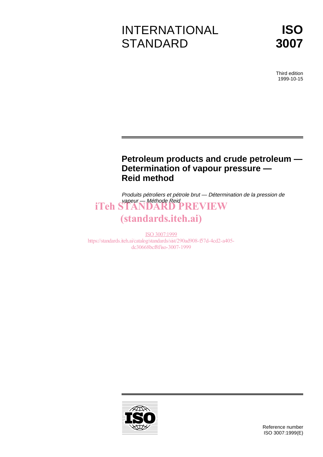# INTERNATIONAL **STANDARD**



Third edition 1999-10-15

## **Petroleum products and crude petroleum — Determination of vapour pressure — Reid method**

Produits pétroliers et pétrole brut — Détermination de la pression de vapeur — Méthode Reid iTeh STANDARD PREVIEW

# (standards.iteh.ai)

ISO 3007:1999 https://standards.iteh.ai/catalog/standards/sist/290ad908-f57d-4cd2-a405 dc30668bcf8f/iso-3007-1999

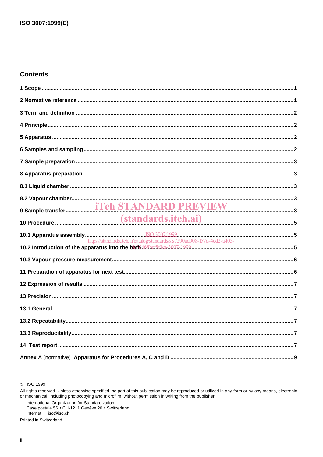## **Contents**

| https://standards.iteh.ai/catalog/standards/sist/290ad908-f57d-4cd2-a405- |  |
|---------------------------------------------------------------------------|--|
|                                                                           |  |
|                                                                           |  |
|                                                                           |  |
|                                                                           |  |
|                                                                           |  |
|                                                                           |  |
|                                                                           |  |
|                                                                           |  |
|                                                                           |  |

C ISO 1999

International Organization for Standardization<br>Case postale 56 • CH-1211 Genève 20 • Switzerland Internet iso@iso.ch

Printed in Switzerland

All rights reserved. Unless otherwise specified, no part of this publication may be reproduced or utilized in any form or by any means, electronic or mechanical, including photocopying and microfilm, without permission in writing from the publisher.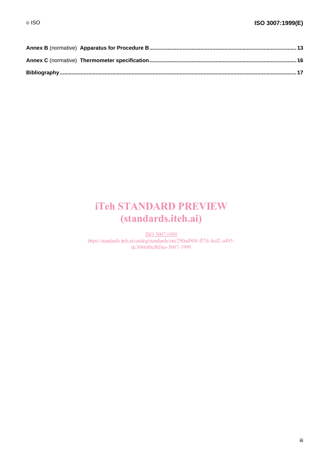## iTeh STANDARD PREVIEW (standards.iteh.ai)

ISO 3007:1999 https://standards.iteh.ai/catalog/standards/sist/290ad908-f57d-4cd2-a405 dc30668bcf8f/iso-3007-1999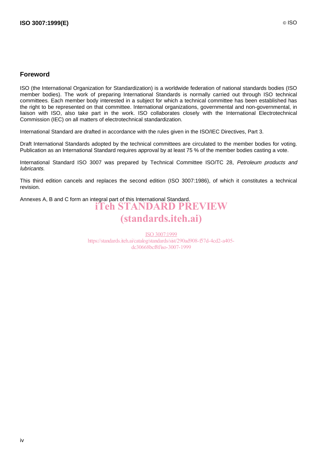## **Foreword**

ISO (the International Organization for Standardization) is a worldwide federation of national standards bodies (ISO member bodies). The work of preparing International Standards is normally carried out through ISO technical committees. Each member body interested in a subject for which a technical committee has been established has the right to be represented on that committee. International organizations, governmental and non-governmental, in liaison with ISO, also take part in the work. ISO collaborates closely with the International Electrotechnical Commission (IEC) on all matters of electrotechnical standardization.

International Standard are drafted in accordance with the rules given in the ISO/IEC Directives, Part 3.

Draft International Standards adopted by the technical committees are circulated to the member bodies for voting. Publication as an International Standard requires approval by at least 75 % of the member bodies casting a vote.

International Standard ISO 3007 was prepared by Technical Committee ISO/TC 28, Petroleum products and lubricants.

This third edition cancels and replaces the second edition (ISO 3007:1986), of which it constitutes a technical revision.

Annexes A, B and C form an integral part of this International Standard. iTeh STANDARD PREVIEW (standards.iteh.ai)

> ISO 3007:1999 https://standards.iteh.ai/catalog/standards/sist/290ad908-f57d-4cd2-a405 dc30668bcf8f/iso-3007-1999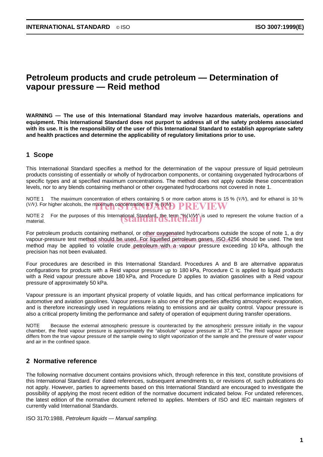## **Petroleum products and crude petroleum — Determination of vapour pressure — Reid method**

**WARNING — The use of this International Standard may involve hazardous materials, operations and equipment. This International Standard does not purport to address all of the safety problems associated with its use. It is the responsibility of the user of this International Standard to establish appropriate safety and health practices and determine the applicability of regulatory limitations prior to use.**

## **1 Scope**

This International Standard specifies a method for the determination of the vapour pressure of liquid petroleum products consisting of essentially or wholly of hydrocarbon components, or containing oxygenated hydrocarbons of specific types and at specified maximum concentrations. The method does not apply outside these concentration levels, nor to any blends containing methanol or other oxygenated hydrocarbons not covered in note 1.

NOTE 1 The maximum concentration of ethers containing 5 or more carbon atoms is 15 % (*V*/*V*), and for ethanol is 10 % (*V/V*). For higher alcohols, the maximum concentration is  $\widetilde{Y}$  ( $\widetilde{X}$   $\widetilde{Y}$   $\widetilde{Y}$   $\widetilde{Y}$   $\widetilde{Y}$   $\widetilde{Y}$   $\widetilde{Y}$   $\widetilde{Y}$   $\widetilde{Y}$   $\widetilde{Y}$   $\widetilde{Y}$   $\widetilde{Y}$   $\widetilde{Y}$   $\widetilde{Y}$   $\widetilde{Y}$ 

NOTE 2 For the purposes of this International Standard, the term "%(V/V") is used to represent the volume fraction of a<br>material. material.

For petroleum products containing methanol, or other oxygenated hydrocarbons outside the scope of note 1, a dry vapour-pressure test method should be used. For liquefied petroleum gases (SQ44256 should be used. The test method may be applied to volatile crude petroleum with <sub>0</sub>87 yapour pressure exceeding 10 kPa, although the precision has not been evaluated.

Four procedures are described in this International Standard. Procedures A and B are alternative apparatus configurations for products with a Reid vapour pressure up to 180 kPa, Procedure C is applied to liquid products with a Reid vapour pressure above 180 kPa, and Procedure D applies to aviation gasolines with a Reid vapour pressure of approximately 50 kPa.

Vapour pressure is an important physical property of volatile liquids, and has critical performance implications for automotive and aviation gasolines. Vapour pressure is also one of the properties affecting atmospheric evaporation, and is therefore increasingly used in regulations relating to emissions and air quality control. Vapour pressure is also a critical property limiting the performance and safety of operation of equipment during transfer operations.

NOTE Because the external atmospheric pressure is counteracted by the atmospheric pressure initially in the vapour chamber, the Reid vapour pressure is approximately the "absolute" vapour pressure at 37,8 °C. The Reid vapour pressure differs from the true vapour pressure of the sample owing to slight vaporization of the sample and the pressure of water vapour and air in the confined space.

## **2 Normative reference**

The following normative document contains provisions which, through reference in this text, constitute provisions of this International Standard. For dated references, subsequent amendments to, or revisions of, such publications do not apply. However, parties to agreements based on this International Standard are encouraged to investigate the possibility of applying the most recent edition of the normative document indicated below. For undated references, the latest edition of the normative document referred to applies. Members of ISO and IEC maintain registers of currently valid International Standards.

ISO 3170:1988, Petroleum liquids — Manual sampling.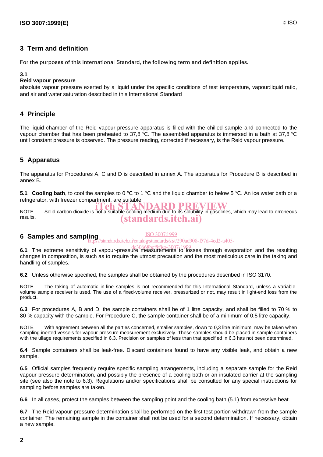## **3 Term and definition**

For the purposes of this International Standard, the following term and definition applies.

#### **3.1**

#### **Reid vapour pressure**

absolute vapour pressure exerted by a liquid under the specific conditions of test temperature, vapour:liquid ratio, and air and water saturation described in this International Standard

## **4 Principle**

The liquid chamber of the Reid vapour-pressure apparatus is filled with the chilled sample and connected to the vapour chamber that has been preheated to 37,8 °C. The assembled apparatus is immersed in a bath at 37,8 °C until constant pressure is observed. The pressure reading, corrected if necessary, is the Reid vapour pressure.

## **5 Apparatus**

The apparatus for Procedures A, C and D is described in annex A. The apparatus for Procedure B is described in annex B.

**5.1 Cooling bath**, to cool the samples to 0 °C to 1 °C and the liquid chamber to below 5 °C. An ice water bath or a refrigerator, with freezer compartment, are suitable.

NOTE Solid carbon dioxide is not a suitable cooling medium due to its solubility in gasolines, which may lead to erroneous results. (standards.iteh.ai)

#### **6 Samples and sampling** ISO 3007:1999

https://standards.iteh.ai/catalog/standards/sist/290ad908-f57d-4cd2-a405-

**6.1** The extreme sensitivity of vapour-pressure measurements to losses through evaporation and the resulting changes in composition, is such as to require the utmost precaution and the most meticulous care in the taking and handling of samples.

**6.2** Unless otherwise specified, the samples shall be obtained by the procedures described in ISO 3170.

NOTE The taking of automatic in-line samples is not recommended for this International Standard, unless a variablevolume sample receiver is used. The use of a fixed-volume receiver, pressurized or not, may result in light-end loss from the product.

**6.3** For procedures A, B and D, the sample containers shall be of 1 litre capacity, and shall be filled to 70 % to 80 % capacity with the sample. For Procedure C, the sample container shall be of a minimum of 0,5 litre capacity.

NOTE With agreement between all the parties concerned, smaller samples, down to 0,3 litre minimum, may be taken when sampling inerted vessels for vapour-pressure measurement exclusively. These samples should be placed in sample containers with the ullage requirements specified in 6.3. Precision on samples of less than that specified in 6.3 has not been determined.

**6.4** Sample containers shall be leak-free. Discard containers found to have any visible leak, and obtain a new sample.

**6.5** Official samples frequently require specific sampling arrangements, including a separate sample for the Reid vapour-pressure determination, and possibly the presence of a cooling bath or an insulated carrier at the sampling site (see also the note to 6.3). Regulations and/or specifications shall be consulted for any special instructions for sampling before samples are taken.

**6.6** In all cases, protect the samples between the sampling point and the cooling bath (5.1) from excessive heat.

**6.7** The Reid vapour-pressure determination shall be performed on the first test portion withdrawn from the sample container. The remaining sample in the container shall not be used for a second determination. If necessary, obtain a new sample.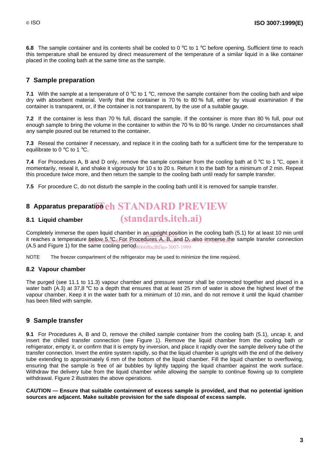**6.8** The sample container and its contents shall be cooled to 0 °C to 1 °C before opening. Sufficient time to reach this temperature shall be ensured by direct measurement of the temperature of a similar liquid in a like container placed in the cooling bath at the same time as the sample.

## **7 Sample preparation**

**7.1** With the sample at a temperature of 0 °C to 1 °C, remove the sample container from the cooling bath and wipe dry with absorbent material. Verify that the container is 70 % to 80 % full, either by visual examination if the container is transparent, or, if the container is not transparent, by the use of a suitable gauge.

**7.2** If the container is less than 70 % full, discard the sample. If the container is more than 80 % full, pour out enough sample to bring the volume in the container to within the 70 % to 80 % range. Under no circumstances shall any sample poured out be returned to the container.

**7.3** Reseal the container if necessary, and replace it in the cooling bath for a sufficient time for the temperature to equilibrate to 0 °C to 1 °C.

**7.4** For Procedures A, B and D only, remove the sample container from the cooling bath at 0 °C to 1 °C, open it momentarily, reseal it, and shake it vigorously for 10 s to 20 s. Return it to the bath for a minimum of 2 min. Repeat this procedure twice more, and then return the sample to the cooling bath until ready for sample transfer.

**7.5** For procedure C, do not disturb the sample in the cooling bath until it is removed for sample transfer.

## 8 Apparatus preparati<mark>on eh STANDARD PREVIEW</mark>

#### **8.1 Liquid chamber**

Completely immerse the open liquid chamber in an upright position in the cooling bath (5.1) for at least 10 min until it reaches a temperature below a 3Cd-decedures and B is and D also immerse the sample transfer connection (A.5 and Figure 1) for the same cooling period  $30668$  bcf $8f$  iso-3007-1999

(standards.iteh.ai)

NOTE The freezer compartment of the refrigerator may be used to minimize the time required.

#### **8.2 Vapour chamber**

The purged (see 11.1 to 11.3) vapour chamber and pressure sensor shall be connected together and placed in a water bath (A.3) at 37.8 °C to a depth that ensures that at least 25 mm of water is above the highest level of the vapour chamber. Keep it in the water bath for a minimum of 10 min, and do not remove it until the liquid chamber has been filled with sample.

### **9 Sample transfer**

**9.1** For Procedures A, B and D, remove the chilled sample container from the cooling bath (5.1), uncap it, and insert the chilled transfer connection (see Figure 1). Remove the liquid chamber from the cooling bath or refrigerator, empty it, or confirm that it is empty by inversion, and place it rapidly over the sample delivery tube of the transfer connection. Invert the entire system rapidly, so that the liquid chamber is upright with the end of the delivery tube extending to approximately 6 mm of the bottom of the liquid chamber. Fill the liquid chamber to overflowing, ensuring that the sample is free of air bubbles by lightly tapping the liquid chamber against the work surface. Withdraw the delivery tube from the liquid chamber while allowing the sample to continue flowing up to complete withdrawal. Figure 2 illustrates the above operations.

**CAUTION — Ensure that suitable containment of excess sample is provided, and that no potential ignition sources are adjacent. Make suitable provision for the safe disposal of excess sample.**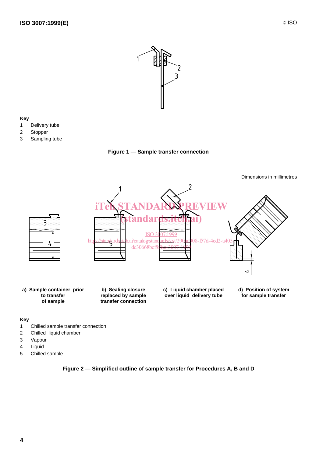

#### **Key**

- 1 Delivery tube
- 2 Stopper
- 3 Sampling tube





#### **Key**

- 1 Chilled sample transfer connection
- 2 Chilled liquid chamber
- 3 Vapour
- 4 Liquid
- 5 Chilled sample

### **Figure 2 — Simplified outline of sample transfer for Procedures A, B and D**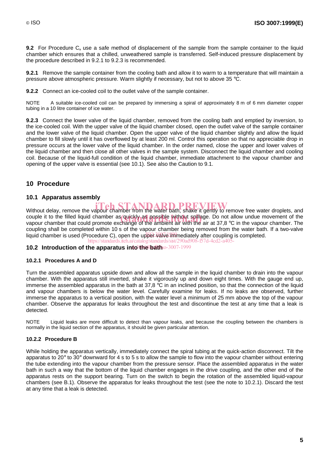**9.2** For Procedure C**,** use a safe method of displacement of the sample from the sample container to the liquid chamber which ensures that a chilled, unweathered sample is transferred. Self-induced pressure displacement by the procedure described in 9.2.1 to 9.2.3 is recommended.

**9.2.1** Remove the sample container from the cooling bath and allow it to warm to a temperature that will maintain a pressure above atmospheric pressure. Warm slightly if necessary, but not to above 35 °C.

**9.2.2** Connect an ice-cooled coil to the outlet valve of the sample container.

NOTE A suitable ice-cooled coil can be prepared by immersing a spiral of approximately 8 m of 6 mm diameter copper tubing in a 10 litre container of ice water.

**9.2.3** Connect the lower valve of the liquid chamber, removed from the cooling bath and emptied by inversion, to the ice-cooled coil. With the upper valve of the liquid chamber closed, open the outlet valve of the sample container and the lower valve of the liquid chamber. Open the upper valve of the liquid chamber slightly and allow the liquid chamber to fill slowly until it has overflowed by at least 200 ml. Control this operation so that no appreciable drop in pressure occurs at the lower valve of the liquid chamber. In the order named, close the upper and lower valves of the liquid chamber and then close all other valves in the sample system. Disconnect the liquid chamber and cooling coil. Because of the liquid-full condition of the liquid chamber, immediate attachment to the vapour chamber and opening of the upper valve is essential (see 10.1). See also the Caution to 9.1.

## **10 Procedure**

#### **10.1 Apparatus assembly**

Without delay, remove the vapour chamber from the water bath, shake it gently to remove free water droplets, and couple it to the filled liquid chamber as quickly as possible without spillage. Do not allow undue movement of the<br>vapour chamber that could promote exchange of the ambient air with the air at 37.8 °C in the vapour chamber vapour chamber that could promote exchange of the ambient air with the air at 37,8 °C in the vapour chamber. The coupling shall be completed within 10 s of the vapour chamber being removed from the water bath. If a two-valve liquid chamber is used (Procedure C), open the upper valve immediately after coupling is completed. https://standards.iteh.ai/catalog/standards/sist/290ad908-f57d-4cd2-a405-

#### 10.2 Introduction of the apparatus into the bath 0-3007-1999

#### **10.2.1 Procedures A and D**

Turn the assembled apparatus upside down and allow all the sample in the liquid chamber to drain into the vapour chamber. With the apparatus still inverted, shake it vigorously up and down eight times. With the gauge end up, immerse the assembled apparatus in the bath at 37,8 °C in an inclined position, so that the connection of the liquid and vapour chambers is below the water level. Carefully examine for leaks. If no leaks are observed, further immerse the apparatus to a vertical position, with the water level a minimum of 25 mm above the top of the vapour chamber. Observe the apparatus for leaks throughout the test and discontinue the test at any time that a leak is detected.

NOTE Liquid leaks are more difficult to detect than vapour leaks, and because the coupling between the chambers is normally in the liquid section of the apparatus, it should be given particular attention.

#### **10.2.2 Procedure B**

While holding the apparatus vertically, immediately connect the spiral tubing at the quick-action disconnect. Tilt the apparatus to  $20^\circ$  to  $30^\circ$  downward for 4 s to 5 s to allow the sample to flow into the vapour chamber without entering the tube extending into the vapour chamber from the pressure sensor. Place the assembled apparatus in the water bath in such a way that the bottom of the liquid chamber engages in the drive coupling, and the other end of the apparatus rests on the support bearing. Turn on the switch to begin the rotation of the assembled liquid-vapour chambers (see B.1). Observe the apparatus for leaks throughout the test (see the note to 10.2.1). Discard the test at any time that a leak is detected.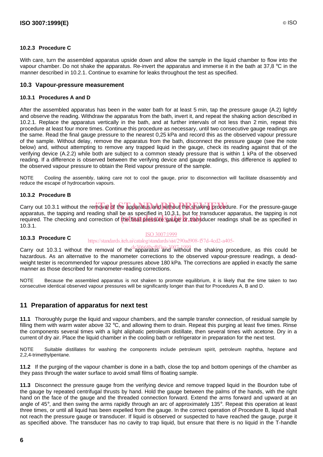#### **10.2.3 Procedure C**

With care, turn the assembled apparatus upside down and allow the sample in the liquid chamber to flow into the vapour chamber. Do not shake the apparatus. Re-invert the apparatus and immerse it in the bath at 37,8 °C in the manner described in 10.2.1. Continue to examine for leaks throughout the test as specified.

#### **10.3 Vapour-pressure measurement**

#### **10.3.1 Procedures A and D**

After the assembled apparatus has been in the water bath for at least 5 min, tap the pressure gauge (A.2) lightly and observe the reading. Withdraw the apparatus from the bath, invert it, and repeat the shaking action described in 10.2.1. Replace the apparatus vertically in the bath, and at further intervals of not less than 2 min, repeat this procedure at least four more times. Continue this procedure as necessary, until two consecutive gauge readings are the same. Read the final gauge pressure to the nearest 0,25 kPa and record this as the observed vapour pressure of the sample. Without delay, remove the apparatus from the bath, disconnect the pressure gauge (see the note below) and, without attempting to remove any trapped liquid in the gauge, check its reading against that of the verifying device (A.2.2) while both are subject to a common steady pressure that is within 1 kPa of the observed reading. If a difference is observed between the verifying device and gauge readings, this difference is applied to the observed vapour pressure to obtain the Reid vapour pressure of the sample.

NOTE Cooling the assembly, taking care not to cool the gauge, prior to disconnection will facilitate disassembly and reduce the escape of hydrocarbon vapours.

#### **10.3.2 Procedure B**

Carry out 10.3.1 without the removal of the apparatus and without the shaking procedure. For the pressure-gauge apparatus, the tapping and reading shall be as specified in 10.3.1, but for transducer apparatus, the tapping is not apparatus, the tapping and reading shall be as specified in Tu.3.1, but for transducer apparatus, the tapping is not<br>required. The checking and correction of the final pressure gauge or transducer readings shall be as spec 10.3.1.

#### ISO 3007:1999

#### **10.3.3 Procedure C** https://standards.iteh.ai/catalog/standards/sist/290ad908-f57d-4cd2-a405-

Carry out 10.3.1 without the removal of the apparatus and without the shaking procedure, as this could be hazardous. As an alternative to the manometer corrections to the observed vapour-pressure readings, a deadweight tester is recommended for vapour pressures above 180 kPa. The corrections are applied in exactly the same manner as those described for manometer-reading corrections.

NOTE Because the assembled apparatus is not shaken to promote equilibrium, it is likely that the time taken to two consecutive identical observed vapour pressures will be significantly longer than that for Procedures A, B and D.

### **11 Preparation of apparatus for next test**

**11.1** Thoroughly purge the liquid and vapour chambers, and the sample transfer connection, of residual sample by filling them with warm water above 32 °C, and allowing them to drain. Repeat this purging at least five times. Rinse the components several times with a light aliphatic petroleum distillate, then several times with acetone. Dry in a current of dry air. Place the liquid chamber in the cooling bath or refrigerator in preparation for the next test.

NOTE Suitable distillates for washing the components include petroleum spirit, petroleum naphtha, heptane and 2,2,4-trimethylpentane.

**11.2** If the purging of the vapour chamber is done in a bath, close the top and bottom openings of the chamber as they pass through the water surface to avoid small films of floating sample.

**11.3** Disconnect the pressure gauge from the verifying device and remove trapped liquid in the Bourdon tube of the gauge by repeated centrifugal thrusts by hand. Hold the gauge between the palms of the hands, with the right hand on the face of the gauge and the threaded connection forward. Extend the arms forward and upward at an angle of 45°, and then swing the arms rapidly through an arc of approximately 135°. Repeat this operation at least three times, or until all liquid has been expelled from the gauge. In the correct operation of Procedure B, liquid shall not reach the pressure gauge or transducer. If liquid is observed or suspected to have reached the gauge, purge it as specified above. The transducer has no cavity to trap liquid, but ensure that there is no liquid in the T-handle